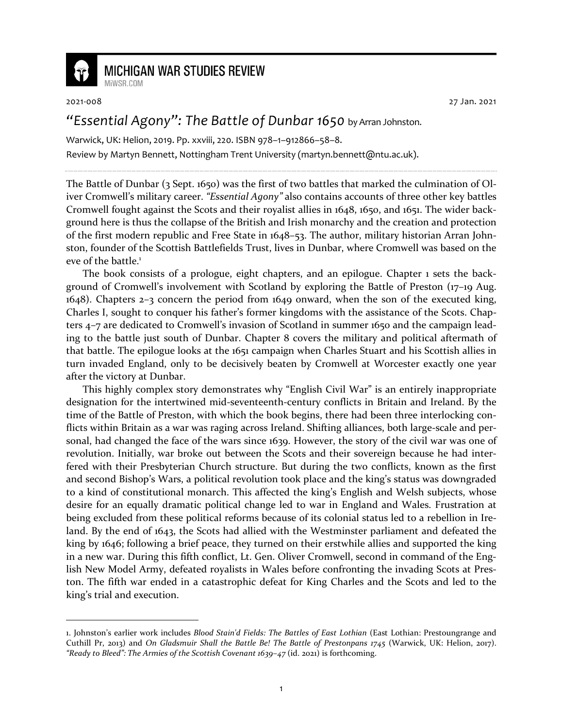

## **MICHIGAN WAR STUDIES REVIEW**

MiWSR COM

2021-008 27 Jan. 2021

## *"Essential Agony": The Battle of Dunbar 1650* by Arran Johnston.

Warwick, UK: Helion, 2019. Pp. xxviii, 220. ISBN 978–1–912866–58–8. Review by Martyn Bennett, Nottingham Trent University (martyn.bennett@ntu.ac.uk).

The Battle of Dunbar (3 Sept. 1650) was the first of two battles that marked the culmination of Oliver Cromwell's military career. *"Essential Agony"* also contains accounts of three other key battles Cromwell fought against the Scots and their royalist allies in 1648, 1650, and 1651. The wider background here is thus the collapse of the British and Irish monarchy and the creation and protection of the first modern republic and Free State in 1648–53. The author, military historian Arran Johnston, founder of the Scottish Battlefields Trust, lives in Dunbar, where Cromwell was based on the eve of the battle.<sup>1</sup>

The book consists of a prologue, eight chapters, and an epilogue. Chapter 1 sets the background of Cromwell's involvement with Scotland by exploring the Battle of Preston (17–19 Aug. 1648). Chapters 2–3 concern the period from 1649 onward, when the son of the executed king, Charles I, sought to conquer his father's former kingdoms with the assistance of the Scots. Chapters 4–7 are dedicated to Cromwell's invasion of Scotland in summer 1650 and the campaign leading to the battle just south of Dunbar. Chapter 8 covers the military and political aftermath of that battle. The epilogue looks at the 1651 campaign when Charles Stuart and his Scottish allies in turn invaded England, only to be decisively beaten by Cromwell at Worcester exactly one year after the victory at Dunbar.

This highly complex story demonstrates why "English Civil War" is an entirely inappropriate designation for the intertwined mid-seventeenth-century conflicts in Britain and Ireland. By the time of the Battle of Preston, with which the book begins, there had been three interlocking conflicts within Britain as a war was raging across Ireland. Shifting alliances, both large-scale and personal, had changed the face of the wars since 1639. However, the story of the civil war was one of revolution. Initially, war broke out between the Scots and their sovereign because he had interfered with their Presbyterian Church structure. But during the two conflicts, known as the first and second Bishop's Wars, a political revolution took place and the king's status was downgraded to a kind of constitutional monarch. This affected the king's English and Welsh subjects, whose desire for an equally dramatic political change led to war in England and Wales. Frustration at being excluded from these political reforms because of its colonial status led to a rebellion in Ireland. By the end of 1643, the Scots had allied with the Westminster parliament and defeated the king by 1646; following a brief peace, they turned on their erstwhile allies and supported the king in a new war. During this fifth conflict, Lt. Gen. Oliver Cromwell, second in command of the English New Model Army, defeated royalists in Wales before confronting the invading Scots at Preston. The fifth war ended in a catastrophic defeat for King Charles and the Scots and led to the king's trial and execution.

<sup>1.</sup> Johnston's earlier work includes *Blood Stain'd Fields: The Battles of East Lothian* (East Lothian: Prestoungrange and Cuthill Pr, 2013) and *On Gladsmuir Shall the Battle Be! The Battle of Prestonpans 1745* (Warwick, UK: Helion, 2017). *"Ready to Bleed": The Armies of the Scottish Covenant 1639–47* (id. 2021) is forthcoming.